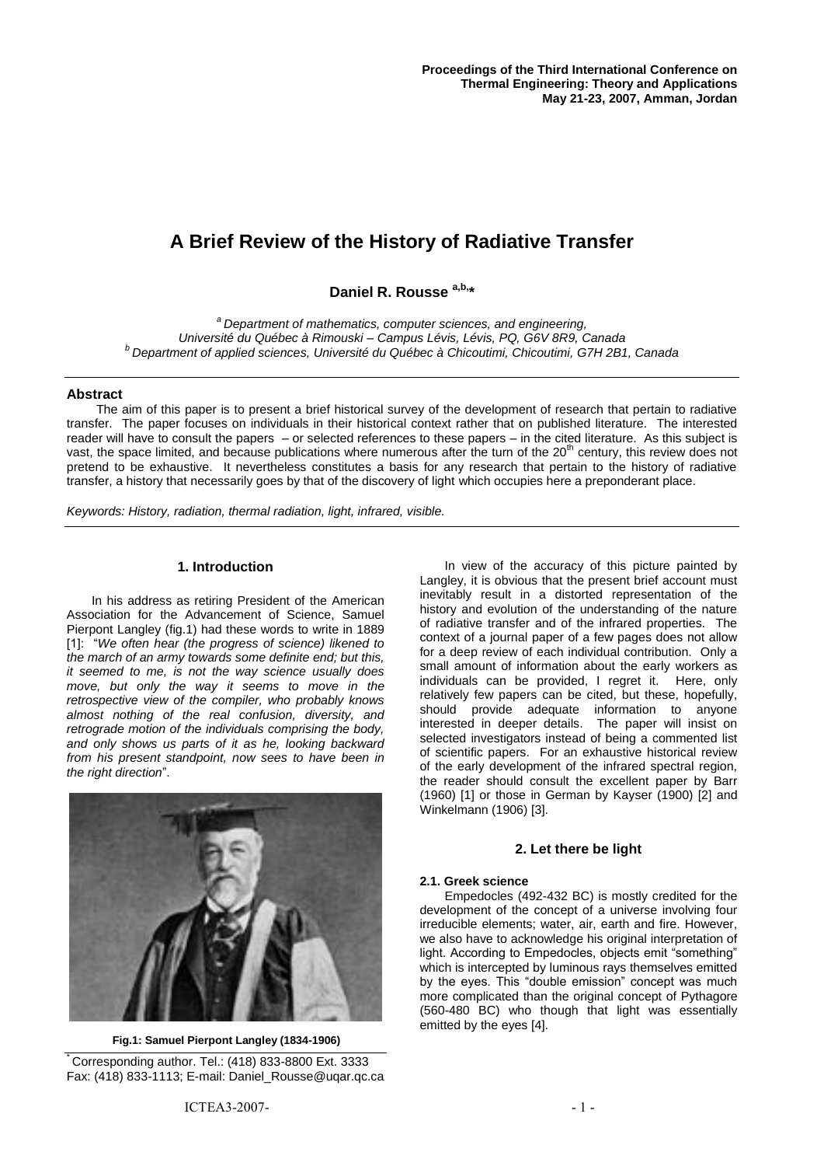# **A Brief Review of the History of Radiative Transfer**

**Daniel R. Rousse a,b,\***

*<sup>a</sup>Department of mathematics, computer sciences, and engineering, Université du Québec à Rimouski – Campus Lévis, Lévis, PQ, G6V 8R9, Canada <sup>b</sup>Department of applied sciences, Université du Québec à Chicoutimi, Chicoutimi, G7H 2B1, Canada*

## **Abstract**

The aim of this paper is to present a brief historical survey of the development of research that pertain to radiative transfer. The paper focuses on individuals in their historical context rather that on published literature. The interested reader will have to consult the papers – or selected references to these papers – in the cited literature. As this subject is vast, the space limited, and because publications where numerous after the turn of the 20<sup>th</sup> century, this review does not pretend to be exhaustive. It nevertheless constitutes a basis for any research that pertain to the history of radiative transfer, a history that necessarily goes by that of the discovery of light which occupies here a preponderant place.

*Keywords: History, radiation, thermal radiation, light, infrared, visible.*

## **1. Introduction**

In his address as retiring President of the American Association for the Advancement of Science, Samuel Pierpont Langley (fig.1) had these words to write in 1889 [1]: "*We often hear (the progress of science) likened to the march of an army towards some definite end; but this, it seemed to me, is not the way science usually does move, but only the way it seems to move in the retrospective view of the compiler, who probably knows almost nothing of the real confusion, diversity, and retrograde motion of the individuals comprising the body, and only shows us parts of it as he, looking backward from his present standpoint, now sees to have been in the right direction*".



**Fig.1: Samuel Pierpont Langley (1834-1906)**

Corresponding author. Tel.:  $(418)$  833-8800 Ext. 3333 Fax: (418) 833-1113; E-mail: Daniel\_Rousse@uqar.qc.ca

In view of the accuracy of this picture painted by Langley, it is obvious that the present brief account must inevitably result in a distorted representation of the history and evolution of the understanding of the nature of radiative transfer and of the infrared properties. The context of a journal paper of a few pages does not allow for a deep review of each individual contribution. Only a small amount of information about the early workers as individuals can be provided, I regret it. Here, only relatively few papers can be cited, but these, hopefully, should provide adequate information to anyone interested in deeper details. The paper will insist on selected investigators instead of being a commented list of scientific papers. For an exhaustive historical review of the early development of the infrared spectral region, the reader should consult the excellent paper by Barr (1960) [1] or those in German by Kayser (1900) [2] and Winkelmann (1906) [3].

# **2. Let there be light**

### **2.1. Greek science**

Empedocles (492-432 BC) is mostly credited for the development of the concept of a universe involving four irreducible elements; water, air, earth and fire. However, we also have to acknowledge his original interpretation of light. According to Empedocles, objects emit "something" which is intercepted by luminous rays themselves emitted by the eyes. This "double emission" concept was much more complicated than the original concept of Pythagore (560-480 BC) who though that light was essentially emitted by the eyes [4].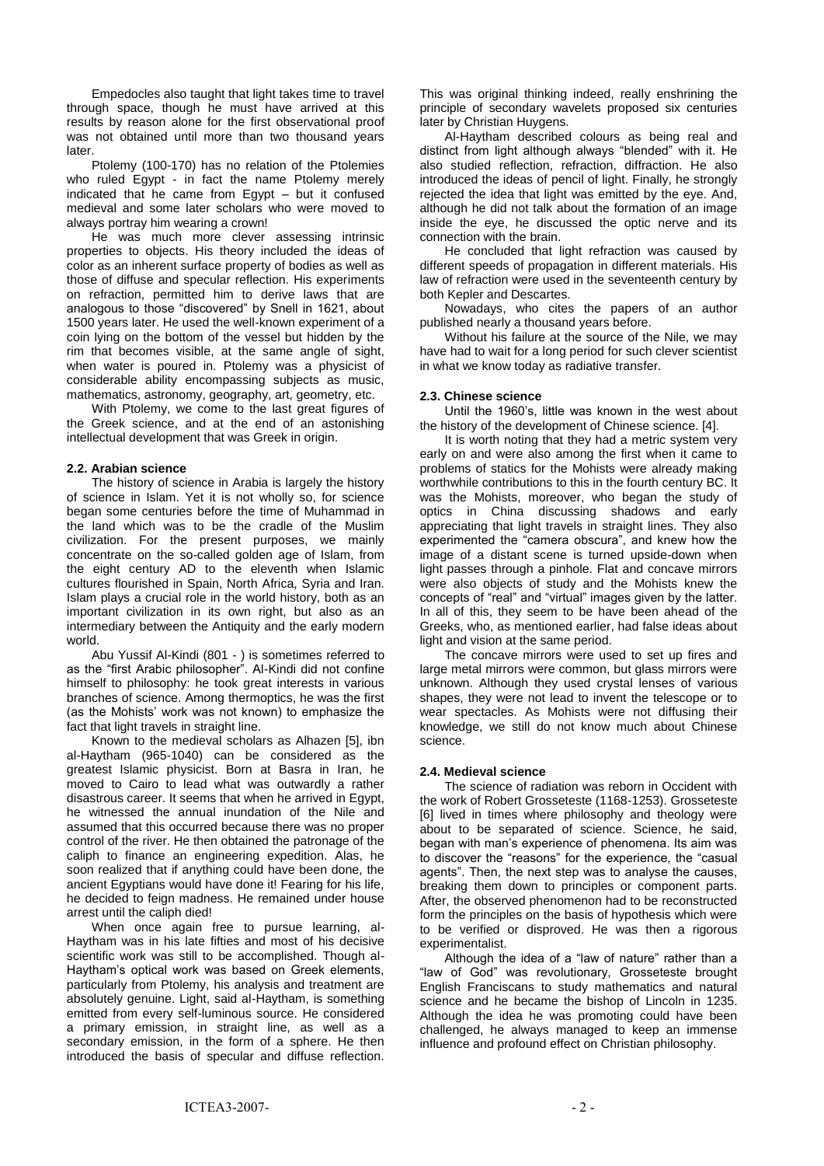Empedocles also taught that light takes time to travel through space, though he must have arrived at this results by reason alone for the first observational proof was not obtained until more than two thousand years **later** 

Ptolemy (100-170) has no relation of the Ptolemies who ruled Egypt - in fact the name Ptolemy merely indicated that he came from Egypt – but it confused medieval and some later scholars who were moved to always portray him wearing a crown!

He was much more clever assessing intrinsic properties to objects. His theory included the ideas of color as an inherent surface property of bodies as well as those of diffuse and specular reflection. His experiments on refraction, permitted him to derive laws that are analogous to those "discovered" by Snell in 1621, about 1500 years later. He used the well-known experiment of a coin lying on the bottom of the vessel but hidden by the rim that becomes visible, at the same angle of sight, when water is poured in. Ptolemy was a physicist of considerable ability encompassing subjects as music, mathematics, astronomy, geography, art, geometry, etc.

With Ptolemy, we come to the last great figures of the Greek science, and at the end of an astonishing intellectual development that was Greek in origin.

### **2.2. Arabian science**

The history of science in Arabia is largely the history of science in Islam. Yet it is not wholly so, for science began some centuries before the time of Muhammad in the land which was to be the cradle of the Muslim civilization. For the present purposes, we mainly concentrate on the so-called golden age of Islam, from the eight century AD to the eleventh when Islamic cultures flourished in Spain, North Africa, Syria and Iran. Islam plays a crucial role in the world history, both as an important civilization in its own right, but also as an intermediary between the Antiquity and the early modern world.

Abu Yussif Al-Kindi (801 - ) is sometimes referred to as the "first Arabic philosopher". Al-Kindi did not confine himself to philosophy: he took great interests in various branches of science. Among thermoptics, he was the first (as the Mohists' work was not known) to emphasize the fact that light travels in straight line.

Known to the medieval scholars as Alhazen [5], ibn al-Haytham (965-1040) can be considered as the greatest Islamic physicist. Born at Basra in Iran, he moved to Cairo to lead what was outwardly a rather disastrous career. It seems that when he arrived in Egypt, he witnessed the annual inundation of the Nile and assumed that this occurred because there was no proper control of the river. He then obtained the patronage of the caliph to finance an engineering expedition. Alas, he soon realized that if anything could have been done, the ancient Egyptians would have done it! Fearing for his life, he decided to feign madness. He remained under house arrest until the caliph died!

When once again free to pursue learning, al-Haytham was in his late fifties and most of his decisive scientific work was still to be accomplished. Though al-Haytham's optical work was based on Greek elements, particularly from Ptolemy, his analysis and treatment are absolutely genuine. Light, said al-Haytham, is something emitted from every self-luminous source. He considered a primary emission, in straight line, as well as a secondary emission, in the form of a sphere. He then introduced the basis of specular and diffuse reflection.

This was original thinking indeed, really enshrining the principle of secondary wavelets proposed six centuries later by Christian Huygens.

Al-Haytham described colours as being real and distinct from light although always "blended" with it. He also studied reflection, refraction, diffraction. He also introduced the ideas of pencil of light. Finally, he strongly rejected the idea that light was emitted by the eye. And, although he did not talk about the formation of an image inside the eye, he discussed the optic nerve and its connection with the brain.

He concluded that light refraction was caused by different speeds of propagation in different materials. His law of refraction were used in the seventeenth century by both Kepler and Descartes.

Nowadays, who cites the papers of an author published nearly a thousand years before.

Without his failure at the source of the Nile, we may have had to wait for a long period for such clever scientist in what we know today as radiative transfer.

#### **2.3. Chinese science**

Until the 1960's, little was known in the west about the history of the development of Chinese science. [4].

It is worth noting that they had a metric system very early on and were also among the first when it came to problems of statics for the Mohists were already making worthwhile contributions to this in the fourth century BC. It was the Mohists, moreover, who began the study of optics in China discussing shadows and early appreciating that light travels in straight lines. They also experimented the "camera obscura", and knew how the image of a distant scene is turned upside-down when light passes through a pinhole. Flat and concave mirrors were also objects of study and the Mohists knew the concepts of "real" and "virtual" images given by the latter. In all of this, they seem to be have been ahead of the Greeks, who, as mentioned earlier, had false ideas about light and vision at the same period.

The concave mirrors were used to set up fires and large metal mirrors were common, but glass mirrors were unknown. Although they used crystal lenses of various shapes, they were not lead to invent the telescope or to wear spectacles. As Mohists were not diffusing their knowledge, we still do not know much about Chinese science.

### **2.4. Medieval science**

The science of radiation was reborn in Occident with the work of Robert Grosseteste (1168-1253). Grosseteste [6] lived in times where philosophy and theology were about to be separated of science. Science, he said, began with man's experience of phenomena. Its aim was to discover the "reasons" for the experience, the "casual agents". Then, the next step was to analyse the causes, breaking them down to principles or component parts. After, the observed phenomenon had to be reconstructed form the principles on the basis of hypothesis which were to be verified or disproved. He was then a rigorous experimentalist.

Although the idea of a "law of nature" rather than a "law of God" was revolutionary, Grosseteste brought English Franciscans to study mathematics and natural science and he became the bishop of Lincoln in 1235. Although the idea he was promoting could have been challenged, he always managed to keep an immense influence and profound effect on Christian philosophy.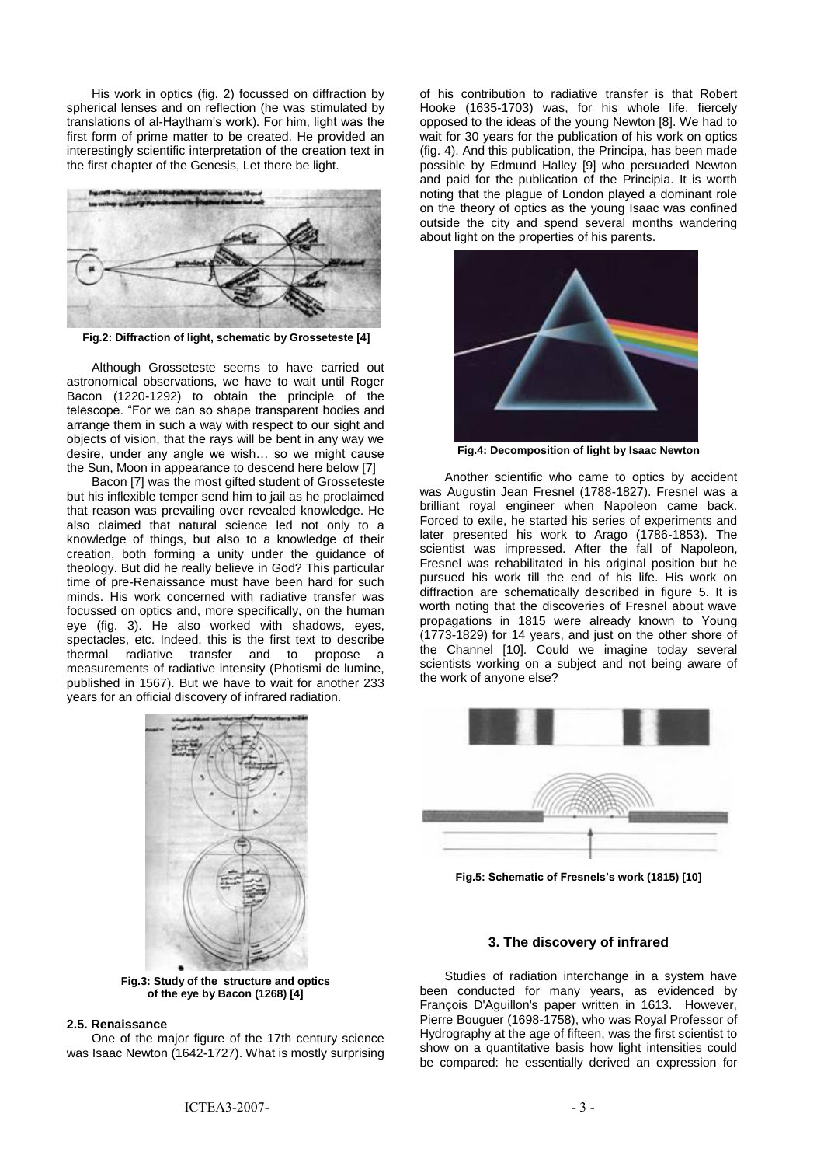His work in optics (fig. 2) focussed on diffraction by spherical lenses and on reflection (he was stimulated by translations of al-Haytham's work). For him, light was the first form of prime matter to be created. He provided an interestingly scientific interpretation of the creation text in the first chapter of the Genesis, Let there be light.



**Fig.2: Diffraction of light, schematic by Grosseteste [4]**

Although Grosseteste seems to have carried out astronomical observations, we have to wait until Roger Bacon (1220-1292) to obtain the principle of the telescope. "For we can so shape transparent bodies and arrange them in such a way with respect to our sight and objects of vision, that the rays will be bent in any way we desire, under any angle we wish… so we might cause the Sun, Moon in appearance to descend here below [7]

Bacon [7] was the most gifted student of Grosseteste but his inflexible temper send him to jail as he proclaimed that reason was prevailing over revealed knowledge. He also claimed that natural science led not only to a knowledge of things, but also to a knowledge of their creation, both forming a unity under the guidance of theology. But did he really believe in God? This particular time of pre-Renaissance must have been hard for such minds. His work concerned with radiative transfer was focussed on optics and, more specifically, on the human eye (fig. 3). He also worked with shadows, eyes, spectacles, etc. Indeed, this is the first text to describe thermal radiative transfer and to propose a measurements of radiative intensity (Photismi de lumine, published in 1567). But we have to wait for another 233 years for an official discovery of infrared radiation.



**Fig.3: Study of the structure and optics of the eye by Bacon (1268) [4]**

#### **2.5. Renaissance**

One of the major figure of the 17th century science was Isaac Newton (1642-1727). What is mostly surprising

of his contribution to radiative transfer is that Robert Hooke (1635-1703) was, for his whole life, fiercely opposed to the ideas of the young Newton [8]. We had to wait for 30 years for the publication of his work on optics (fig. 4). And this publication, the Principa, has been made possible by Edmund Halley [9] who persuaded Newton and paid for the publication of the Principia. It is worth noting that the plague of London played a dominant role on the theory of optics as the young Isaac was confined outside the city and spend several months wandering about light on the properties of his parents.



**Fig.4: Decomposition of light by Isaac Newton**

Another scientific who came to optics by accident was Augustin Jean Fresnel (1788-1827). Fresnel was a brilliant royal engineer when Napoleon came back. Forced to exile, he started his series of experiments and later presented his work to Arago (1786-1853). The scientist was impressed. After the fall of Napoleon, Fresnel was rehabilitated in his original position but he pursued his work till the end of his life. His work on diffraction are schematically described in figure 5. It is worth noting that the discoveries of Fresnel about wave propagations in 1815 were already known to Young (1773-1829) for 14 years, and just on the other shore of the Channel [10]. Could we imagine today several scientists working on a subject and not being aware of the work of anyone else?



**Fig.5: Schematic of Fresnels's work (1815) [10]**

#### **3. The discovery of infrared**

Studies of radiation interchange in a system have been conducted for many years, as evidenced by François D'Aguillon's paper written in 1613. However, Pierre Bouguer (1698-1758), who was Royal Professor of Hydrography at the age of fifteen, was the first scientist to show on a quantitative basis how light intensities could be compared: he essentially derived an expression for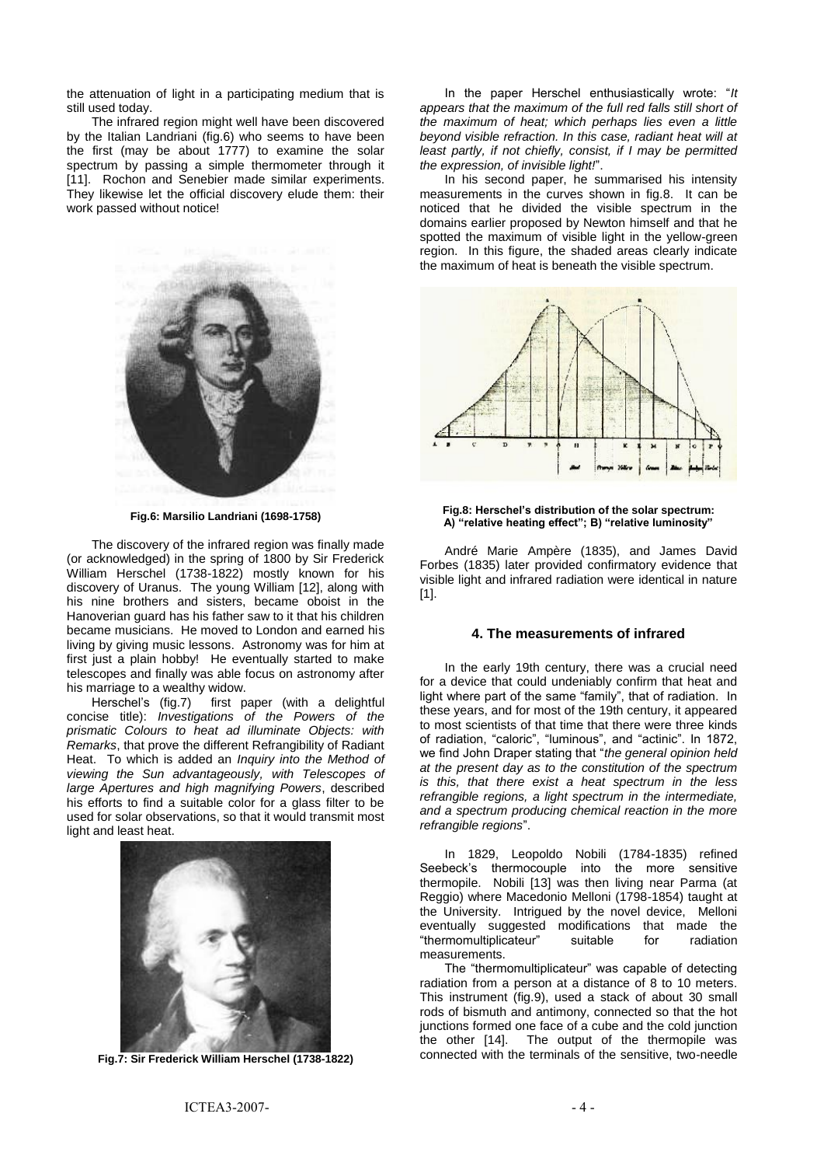the attenuation of light in a participating medium that is still used today.

The infrared region might well have been discovered by the Italian Landriani (fig.6) who seems to have been the first (may be about 1777) to examine the solar spectrum by passing a simple thermometer through it [11]. Rochon and Senebier made similar experiments. They likewise let the official discovery elude them: their work passed without notice!



**Fig.6: Marsilio Landriani (1698-1758)**

The discovery of the infrared region was finally made (or acknowledged) in the spring of 1800 by Sir Frederick William Herschel (1738-1822) mostly known for his discovery of Uranus. The young William [12], along with his nine brothers and sisters, became oboist in the Hanoverian guard has his father saw to it that his children became musicians. He moved to London and earned his living by giving music lessons. Astronomy was for him at first just a plain hobby! He eventually started to make telescopes and finally was able focus on astronomy after his marriage to a wealthy widow.

Herschel's (fig.7) first paper (with a delightful concise title): *Investigations of the Powers of the prismatic Colours to heat ad illuminate Objects: with Remarks*, that prove the different Refrangibility of Radiant Heat. To which is added an *Inquiry into the Method of viewing the Sun advantageously, with Telescopes of large Apertures and high magnifying Powers*, described his efforts to find a suitable color for a glass filter to be used for solar observations, so that it would transmit most light and least heat.



**Fig.7: Sir Frederick William Herschel (1738-1822)**

In the paper Herschel enthusiastically wrote: "*It appears that the maximum of the full red falls still short of the maximum of heat; which perhaps lies even a little beyond visible refraction. In this case, radiant heat will at least partly, if not chiefly, consist, if I may be permitted the expression, of invisible light!*".

In his second paper, he summarised his intensity measurements in the curves shown in fig.8. It can be noticed that he divided the visible spectrum in the domains earlier proposed by Newton himself and that he spotted the maximum of visible light in the yellow-green region. In this figure, the shaded areas clearly indicate the maximum of heat is beneath the visible spectrum.





André Marie Ampère (1835), and James David Forbes (1835) later provided confirmatory evidence that visible light and infrared radiation were identical in nature [1].

## **4. The measurements of infrared**

In the early 19th century, there was a crucial need for a device that could undeniably confirm that heat and light where part of the same "family", that of radiation. In these years, and for most of the 19th century, it appeared to most scientists of that time that there were three kinds of radiation, "caloric", "luminous", and "actinic". In 1872, we find John Draper stating that "*the general opinion held at the present day as to the constitution of the spectrum is this, that there exist a heat spectrum in the less refrangible regions, a light spectrum in the intermediate, and a spectrum producing chemical reaction in the more refrangible regions*".

In 1829, Leopoldo Nobili (1784-1835) refined Seebeck's thermocouple into the more sensitive thermopile. Nobili [13] was then living near Parma (at Reggio) where Macedonio Melloni (1798-1854) taught at the University. Intrigued by the novel device, Melloni eventually suggested modifications that made the "thermomultiplicateur" suitable for radiation measurements.

The "thermomultiplicateur" was capable of detecting radiation from a person at a distance of 8 to 10 meters. This instrument (fig.9), used a stack of about 30 small rods of bismuth and antimony, connected so that the hot junctions formed one face of a cube and the cold junction the other [14]. The output of the thermopile was connected with the terminals of the sensitive, two-needle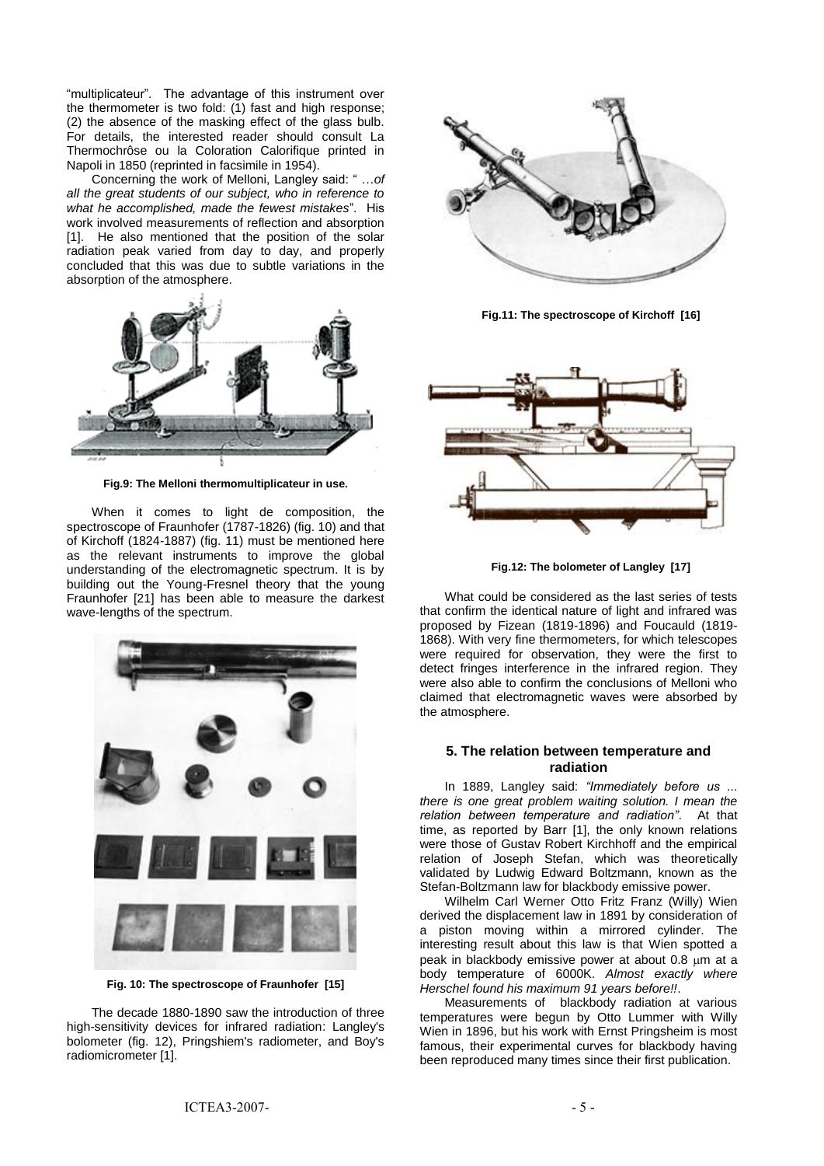"multiplicateur". The advantage of this instrument over the thermometer is two fold: (1) fast and high response; (2) the absence of the masking effect of the glass bulb. For details, the interested reader should consult La Thermochrôse ou la Coloration Calorifique printed in Napoli in 1850 (reprinted in facsimile in 1954).

Concerning the work of Melloni, Langley said: " …*of all the great students of our subject, who in reference to what he accomplished, made the fewest mistakes*". His work involved measurements of reflection and absorption [1]. He also mentioned that the position of the solar radiation peak varied from day to day, and properly concluded that this was due to subtle variations in the absorption of the atmosphere.



**Fig.9: The Melloni thermomultiplicateur in use.**

When it comes to light de composition, the spectroscope of Fraunhofer (1787-1826) (fig. 10) and that of Kirchoff (1824-1887) (fig. 11) must be mentioned here as the relevant instruments to improve the global understanding of the electromagnetic spectrum. It is by building out the Young-Fresnel theory that the young Fraunhofer [21] has been able to measure the darkest wave-lengths of the spectrum.



**Fig. 10: The spectroscope of Fraunhofer [15]**

The decade 1880-1890 saw the introduction of three high-sensitivity devices for infrared radiation: Langley's bolometer (fig. 12), Pringshiem's radiometer, and Boy's radiomicrometer [1].



**Fig.11: The spectroscope of Kirchoff [16]**



**Fig.12: The bolometer of Langley [17]**

What could be considered as the last series of tests that confirm the identical nature of light and infrared was proposed by Fizean (1819-1896) and Foucauld (1819- 1868). With very fine thermometers, for which telescopes were required for observation, they were the first to detect fringes interference in the infrared region. They were also able to confirm the conclusions of Melloni who claimed that electromagnetic waves were absorbed by the atmosphere.

## **5. The relation between temperature and radiation**

In 1889, Langley said: *"Immediately before us ... there is one great problem waiting solution. I mean the relation between temperature and radiation"*. At that time, as reported by Barr [1], the only known relations were those of Gustav Robert Kirchhoff and the empirical relation of Joseph Stefan, which was theoretically validated by Ludwig Edward Boltzmann, known as the Stefan-Boltzmann law for blackbody emissive power.

Wilhelm Carl Werner Otto Fritz Franz (Willy) Wien derived the displacement law in 1891 by consideration of a piston moving within a mirrored cylinder. The interesting result about this law is that Wien spotted a peak in blackbody emissive power at about  $0.8 \mu m$  at a body temperature of 6000K. *Almost exactly where Herschel found his maximum 91 years before!!*.

Measurements of blackbody radiation at various temperatures were begun by Otto Lummer with Willy Wien in 1896, but his work with Ernst Pringsheim is most famous, their experimental curves for blackbody having been reproduced many times since their first publication.